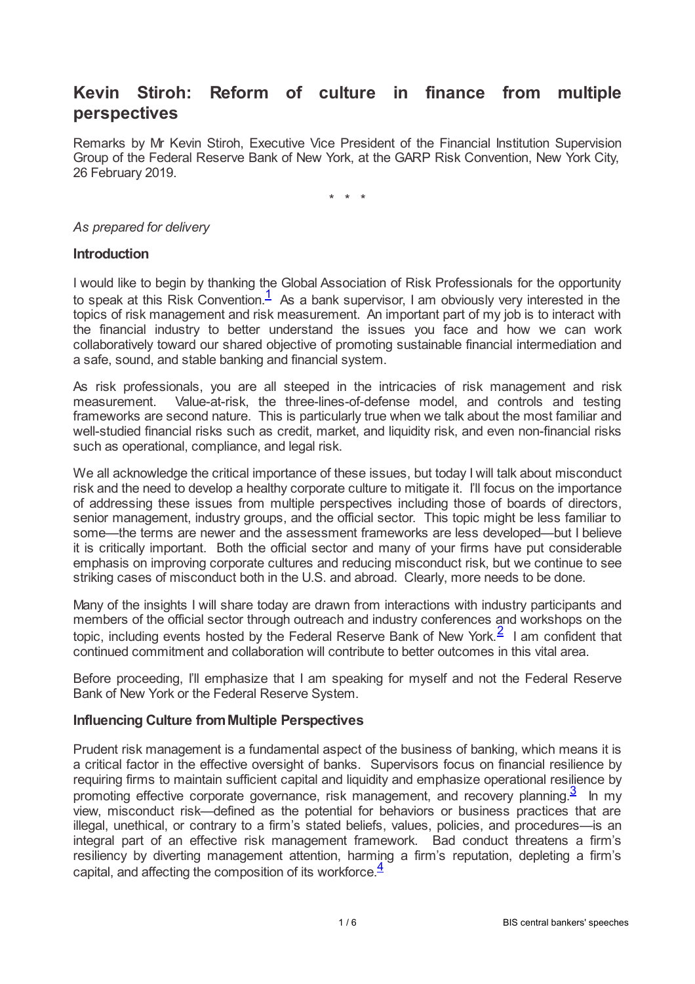# **Kevin Stiroh: Reform of culture in finance from multiple perspectives**

Remarks by Mr Kevin Stiroh, Executive Vice President of the Financial Institution Supervision Group of the Federal Reserve Bank of New York, at the GARP Risk Convention, New York City, 26 February 2019.

<span id="page-0-0"></span>\* \* \*

#### *As prepared for delivery*

#### **Introduction**

I would like to begin by thanking the Global Association of Risk Professionals for the opportunity to speak at this Risk Convention.<sup>[1](#page-5-0)</sup> As a bank supervisor, I am obviously very interested in the topics of risk management and risk measurement. An important part of my job is to interact with the financial industry to better understand the issues you face and how we can work collaboratively toward our shared objective of promoting sustainable financial intermediation and a safe, sound, and stable banking and financial system.

As risk professionals, you are all steeped in the intricacies of risk management and risk measurement. Value-at-risk, the three-lines-of-defense model, and controls and testing frameworks are second nature. This is particularly true when we talk about the most familiar and well-studied financial risks such as credit, market, and liquidity risk, and even non-financial risks such as operational, compliance, and legal risk.

We all acknowledge the critical importance of these issues, but today I will talk about misconduct risk and the need to develop a healthy corporate culture to mitigate it. I'll focus on the importance of addressing these issues from multiple perspectives including those of boards of directors, senior management, industry groups, and the official sector. This topic might be less familiar to some—the terms are newer and the assessment frameworks are less developed—but I believe it is critically important. Both the official sector and many of your firms have put considerable emphasis on improving corporate cultures and reducing misconduct risk, but we continue to see striking cases of misconduct both in the U.S. and abroad. Clearly, more needs to be done.

<span id="page-0-1"></span>Many of the insights I will share today are drawn from interactions with industry participants and members of the official sector through outreach and industry conferences and workshops on the topic, including events hosted by the Federal Reserve Bank of New York. $\frac{2}{\pi}$  $\frac{2}{\pi}$  $\frac{2}{\pi}$  I am confident that continued commitment and collaboration will contribute to better outcomes in this vital area.

Before proceeding, I'll emphasize that I am speaking for myself and not the Federal Reserve Bank of New York or the Federal Reserve System.

#### **Influencing Culture fromMultiple Perspectives**

<span id="page-0-3"></span><span id="page-0-2"></span>Prudent risk management is a fundamental aspect of the business of banking, which means it is a critical factor in the effective oversight of banks. Supervisors focus on financial resilience by requiring firms to maintain sufficient capital and liquidity and emphasize operational resilience by promoting effective corporate governance, risk management, and recovery planning. $\frac{3}{2}$  $\frac{3}{2}$  $\frac{3}{2}$  In my view, misconduct risk—defined as the potential for behaviors or business practices that are illegal, unethical, or contrary to a firm's stated beliefs, values, policies, and procedures—is an integral part of an effective risk management framework. Bad conduct threatens a firm's resiliency by diverting management attention, harming a firm's reputation, depleting a firm's capital, and affecting the composition of its workforce. $\frac{4}{3}$  $\frac{4}{3}$  $\frac{4}{3}$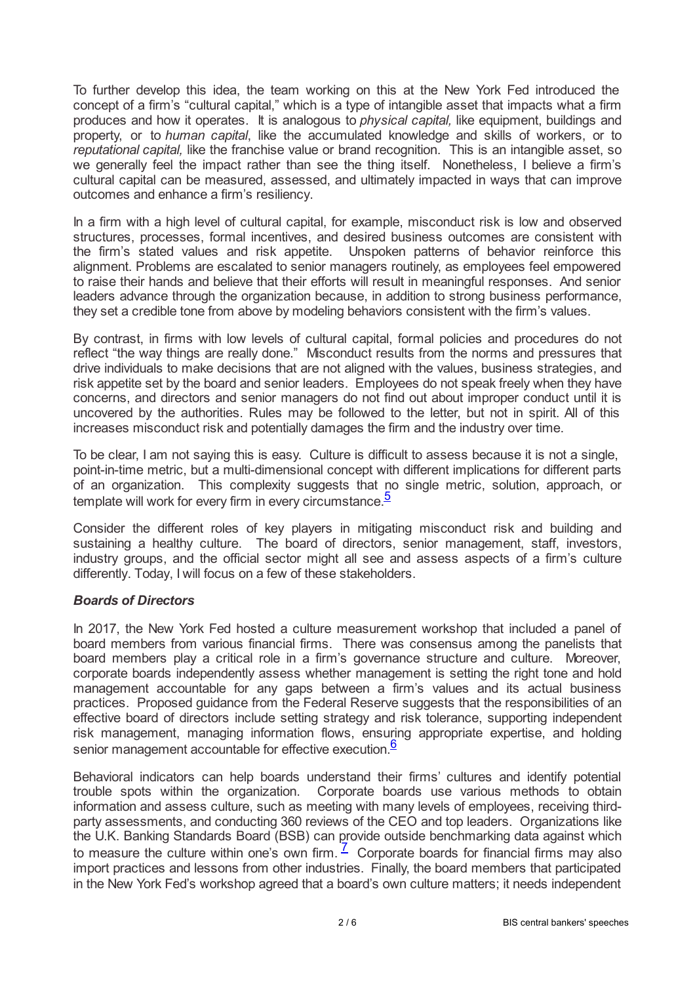To further develop this idea, the team working on this at the New York Fed introduced the concept of a firm's "cultural capital," which is a type of intangible asset that impacts what a firm produces and how it operates. It is analogous to *physical capital,* like equipment, buildings and property, or to *human capital*, like the accumulated knowledge and skills of workers, or to *reputational capital,* like the franchise value or brand recognition. This is an intangible asset, so we generally feel the impact rather than see the thing itself. Nonetheless, I believe a firm's cultural capital can be measured, assessed, and ultimately impacted in ways that can improve outcomes and enhance a firm's resiliency.

In a firm with a high level of cultural capital, for example, misconduct risk is low and observed structures, processes, formal incentives, and desired business outcomes are consistent with the firm's stated values and risk appetite. Unspoken patterns of behavior reinforce this alignment. Problems are escalated to senior managers routinely, as employees feel empowered to raise their hands and believe that their efforts will result in meaningful responses. And senior leaders advance through the organization because, in addition to strong business performance, they set a credible tone from above by modeling behaviors consistent with the firm's values.

By contrast, in firms with low levels of cultural capital, formal policies and procedures do not reflect "the way things are really done." Misconduct results from the norms and pressures that drive individuals to make decisions that are not aligned with the values, business strategies, and risk appetite set by the board and senior leaders. Employees do not speak freely when they have concerns, and directors and senior managers do not find out about improper conduct until it is uncovered by the authorities. Rules may be followed to the letter, but not in spirit. All of this increases misconduct risk and potentially damages the firm and the industry over time.

To be clear, I am not saying this is easy. Culture is difficult to assess because it is not a single, point-in-time metric, but a multi-dimensional concept with different implications for different parts of an organization. This complexity suggests that no single metric, solution, approach, or template will work for every firm in every circumstance.<sup>[5](#page-5-4)</sup>

<span id="page-1-0"></span>Consider the different roles of key players in mitigating misconduct risk and building and sustaining a healthy culture. The board of directors, senior management, staff, investors, industry groups, and the official sector might all see and assess aspects of a firm's culture differently. Today, I will focus on a few of these stakeholders.

# *Boards of Directors*

In 2017, the New York Fed hosted a culture measurement workshop that included a panel of board members from various financial firms. There was consensus among the panelists that board members play a critical role in a firm's governance structure and culture. Moreover, corporate boards independently assess whether management is setting the right tone and hold management accountable for any gaps between a firm's values and its actual business practices. Proposed guidance from the Federal Reserve suggests that the responsibilities of an effective board of directors include setting strategy and risk tolerance, supporting independent risk management, managing information flows, ensuring appropriate expertise, and holding senior management accountable for effective execution.<sup>[6](#page-5-5)</sup>

<span id="page-1-2"></span><span id="page-1-1"></span>Behavioral indicators can help boards understand their firms' cultures and identify potential trouble spots within the organization. Corporate boards use various methods to obtain information and assess culture, such as meeting with many levels of employees, receiving thirdparty assessments, and conducting 360 reviews of the CEO and top leaders. Organizations like the U.K. Banking Standards Board (BSB) can provide outside benchmarking data against which to measure the culture within one's own firm.  $\frac{7}{2}$  $\frac{7}{2}$  $\frac{7}{2}$  Corporate boards for financial firms may also import practices and lessons from other industries. Finally, the board members that participated in the New York Fed's workshop agreed that a board's own culture matters; it needs independent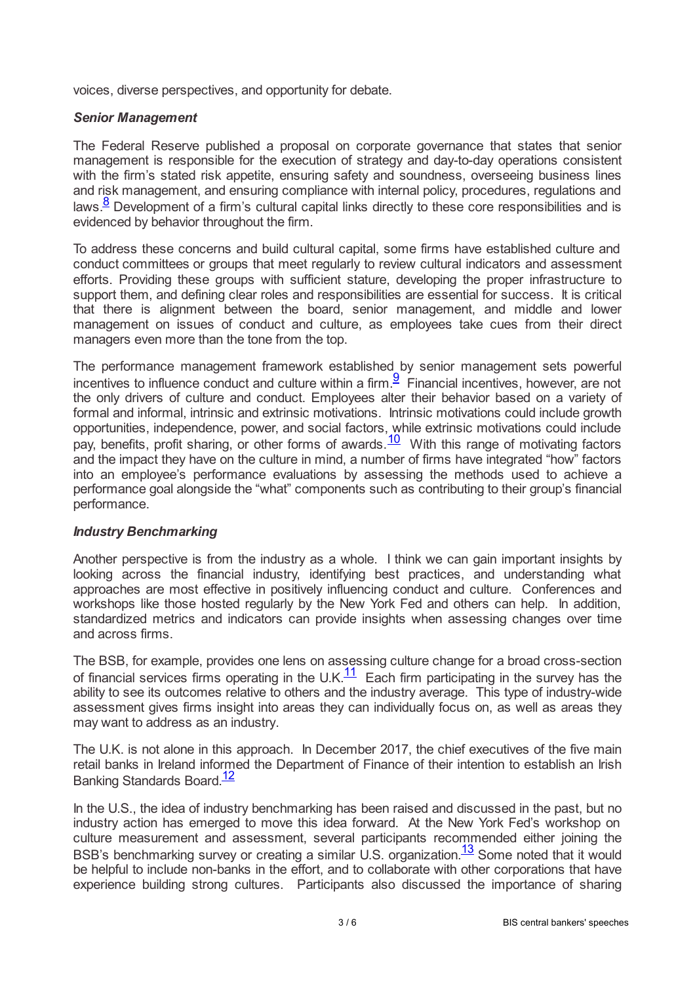voices, diverse perspectives, and opportunity for debate.

#### *Senior Management*

The Federal Reserve published a proposal on corporate governance that states that senior management is responsible for the execution of strategy and day-to-day operations consistent with the firm's stated risk appetite, ensuring safety and soundness, overseeing business lines and risk management, and ensuring compliance with internal policy, procedures, regulations and laws.<sup>[8](#page-5-7)</sup> Development of a firm's cultural capital links directly to these core responsibilities and is evidenced by behavior throughout the firm.

<span id="page-2-0"></span>To address these concerns and build cultural capital, some firms have established culture and conduct committees or groups that meet regularly to review cultural indicators and assessment efforts. Providing these groups with sufficient stature, developing the proper infrastructure to support them, and defining clear roles and responsibilities are essential for success. It is critical that there is alignment between the board, senior management, and middle and lower management on issues of conduct and culture, as employees take cues from their direct managers even more than the tone from the top.

<span id="page-2-2"></span><span id="page-2-1"></span>The performance management framework established by senior management sets powerful incentives to influence conduct and culture within a firm.  $\frac{9}{5}$  $\frac{9}{5}$  $\frac{9}{5}$  Financial incentives, however, are not the only drivers of culture and conduct. Employees alter their behavior based on a variety of formal and informal, intrinsic and extrinsic motivations. Intrinsic motivations could include growth opportunities, independence, power, and social factors, while extrinsic motivations could include pay, benefits, profit sharing, or other forms of awards. With this range of motivating factors and the impact they have on the culture in mind, a number of firms have integrated "how" factors into an employee's performance evaluations by assessing the methods used to achieve a performance goal alongside the "what" components such as contributing to their group's financial performance.  $10$ 

#### *Industry Benchmarking*

Another perspective is from the industry as a whole. I think we can gain important insights by looking across the financial industry, identifying best practices, and understanding what approaches are most effective in positively influencing conduct and culture. Conferences and workshops like those hosted regularly by the New York Fed and others can help. In addition, standardized metrics and indicators can provide insights when assessing changes over time and across firms.

<span id="page-2-3"></span>The BSB, for example, provides one lens on assessing culture change for a broad cross-section of financial services firms operating in the U.K. $\frac{11}{1}$  $\frac{11}{1}$  $\frac{11}{1}$  Each firm participating in the survey has the ability to see its outcomes relative to others and the industry average. This type of industry-wide assessment gives firms insight into areas they can individually focus on, as well as areas they may want to address as an industry.

The U.K. is not alone in this approach. In December 2017, the chief executives of the five main retail banks in Ireland informed the Department of Finance of their intention to establish an Irish Banking Standards Board.<sup>[12](#page-5-11)</sup>

<span id="page-2-5"></span><span id="page-2-4"></span>In the U.S., the idea of industry benchmarking has been raised and discussed in the past, but no industry action has emerged to move this idea forward. At the New York Fed's workshop on culture measurement and assessment, several participants recommended either joining the BSB's benchmarking survey or creating a similar U.S. organization.<sup>[13](#page-5-12)</sup> Some noted that it would be helpful to include non-banks in the effort, and to collaborate with other corporations that have experience building strong cultures. Participants also discussed the importance of sharing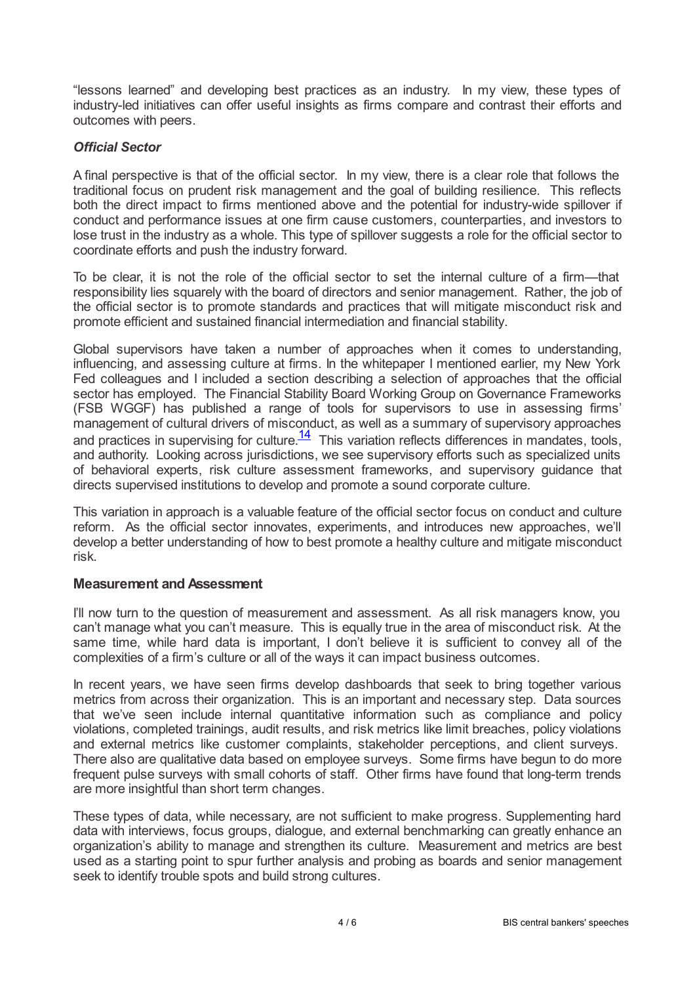"lessons learned" and developing best practices as an industry. In my view, these types of industry-led initiatives can offer useful insights as firms compare and contrast their efforts and outcomes with peers.

## *Official Sector*

A final perspective is that of the official sector. In my view, there is a clear role that follows the traditional focus on prudent risk management and the goal of building resilience. This reflects both the direct impact to firms mentioned above and the potential for industry-wide spillover if conduct and performance issues at one firm cause customers, counterparties, and investors to lose trust in the industry as a whole. This type of spillover suggests a role for the official sector to coordinate efforts and push the industry forward.

To be clear, it is not the role of the official sector to set the internal culture of a firm—that responsibility lies squarely with the board of directors and senior management. Rather, the job of the official sector is to promote standards and practices that will mitigate misconduct risk and promote efficient and sustained financial intermediation and financial stability.

Global supervisors have taken a number of approaches when it comes to understanding, influencing, and assessing culture at firms. In the whitepaper I mentioned earlier, my New York Fed colleagues and I included a section describing a selection of approaches that the official sector has employed. The Financial Stability Board Working Group on Governance Frameworks (FSB WGGF) has published a range of tools for supervisors to use in assessing firms' management of cultural drivers of misconduct, as well as a summary of supervisory approaches and practices in supervising for culture. $\frac{14}{1}$  $\frac{14}{1}$  $\frac{14}{1}$  This variation reflects differences in mandates, tools, and authority. Looking across jurisdictions, we see supervisory efforts such as specialized units of behavioral experts, risk culture assessment frameworks, and supervisory guidance that directs supervised institutions to develop and promote a sound corporate culture.

<span id="page-3-0"></span>This variation in approach is a valuable feature of the official sector focus on conduct and culture reform. As the official sector innovates, experiments, and introduces new approaches, we'll develop a better understanding of how to best promote a healthy culture and mitigate misconduct risk.

## **Measurement and Assessment**

I'll now turn to the question of measurement and assessment. As all risk managers know, you can't manage what you can't measure. This is equally true in the area of misconduct risk. At the same time, while hard data is important, I don't believe it is sufficient to convey all of the complexities of a firm's culture or all of the ways it can impact business outcomes.

In recent years, we have seen firms develop dashboards that seek to bring together various metrics from across their organization. This is an important and necessary step. Data sources that we've seen include internal quantitative information such as compliance and policy violations, completed trainings, audit results, and risk metrics like limit breaches, policy violations and external metrics like customer complaints, stakeholder perceptions, and client surveys. There also are qualitative data based on employee surveys. Some firms have begun to do more frequent pulse surveys with small cohorts of staff. Other firms have found that long-term trends are more insightful than short term changes.

These types of data, while necessary, are not sufficient to make progress. Supplementing hard data with interviews, focus groups, dialogue, and external benchmarking can greatly enhance an organization's ability to manage and strengthen its culture. Measurement and metrics are best used as a starting point to spur further analysis and probing as boards and senior management seek to identify trouble spots and build strong cultures.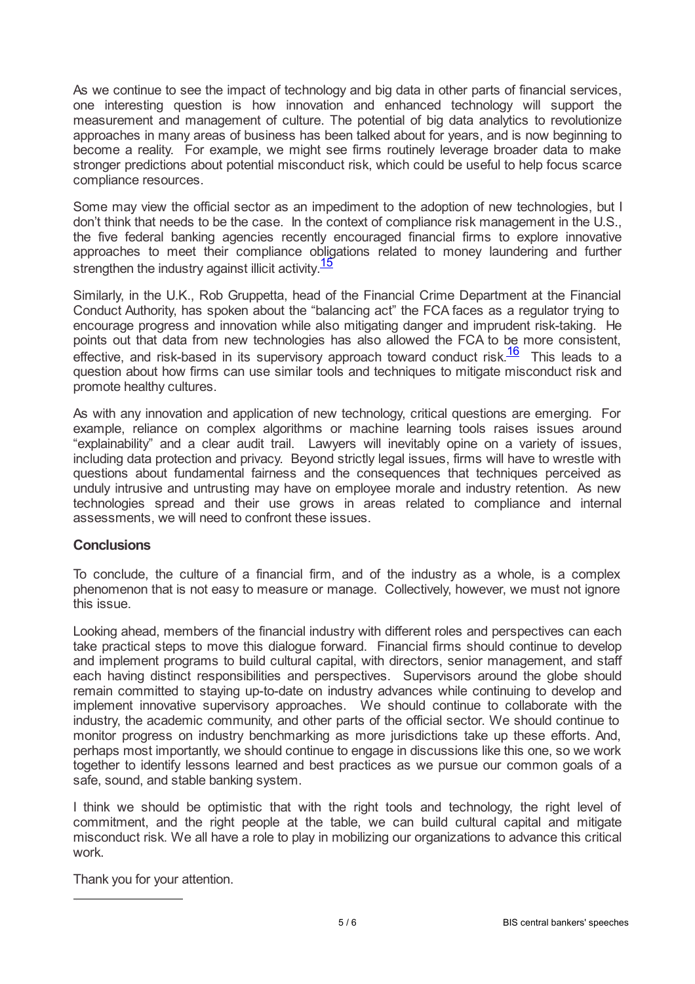As we continue to see the impact of technology and big data in other parts of financial services, one interesting question is how innovation and enhanced technology will support the measurement and management of culture. The potential of big data analytics to revolutionize approaches in many areas of business has been talked about for years, and is now beginning to become a reality. For example, we might see firms routinely leverage broader data to make stronger predictions about potential misconduct risk, which could be useful to help focus scarce compliance resources.

Some may view the official sector as an impediment to the adoption of new technologies, but I don't think that needs to be the case. In the context of compliance risk management in the U.S., the five federal banking agencies recently encouraged financial firms to explore innovative approaches to meet their compliance obligations related to money laundering and further strengthen the industry against illicit activity.<sup>[15](#page-5-14)</sup>

<span id="page-4-0"></span>Similarly, in the U.K., Rob Gruppetta, head of the Financial Crime Department at the Financial Conduct Authority, has spoken about the "balancing act" the FCA faces as a regulator trying to encourage progress and innovation while also mitigating danger and imprudent risk-taking. He points out that data from new technologies has also allowed the FCA to be more consistent, effective, and risk-based in its supervisory approach toward conduct risk. $\frac{16}{16}$  $\frac{16}{16}$  $\frac{16}{16}$  This leads to a question about how firms can use similar tools and techniques to mitigate misconduct risk and promote healthy cultures.

<span id="page-4-1"></span>As with any innovation and application of new technology, critical questions are emerging. For example, reliance on complex algorithms or machine learning tools raises issues around "explainability" and a clear audit trail. Lawyers will inevitably opine on a variety of issues, including data protection and privacy. Beyond strictly legal issues, firms will have to wrestle with questions about fundamental fairness and the consequences that techniques perceived as unduly intrusive and untrusting may have on employee morale and industry retention. As new technologies spread and their use grows in areas related to compliance and internal assessments, we will need to confront these issues.

#### **Conclusions**

To conclude, the culture of a financial firm, and of the industry as a whole, is a complex phenomenon that is not easy to measure or manage. Collectively, however, we must not ignore this issue.

Looking ahead, members of the financial industry with different roles and perspectives can each take practical steps to move this dialogue forward. Financial firms should continue to develop and implement programs to build cultural capital, with directors, senior management, and staff each having distinct responsibilities and perspectives. Supervisors around the globe should remain committed to staying up-to-date on industry advances while continuing to develop and implement innovative supervisory approaches. We should continue to collaborate with the industry, the academic community, and other parts of the official sector. We should continue to monitor progress on industry benchmarking as more jurisdictions take up these efforts. And, perhaps most importantly, we should continue to engage in discussions like this one, so we work together to identify lessons learned and best practices as we pursue our common goals of a safe, sound, and stable banking system.

I think we should be optimistic that with the right tools and technology, the right level of commitment, and the right people at the table, we can build cultural capital and mitigate misconduct risk. We all have a role to play in mobilizing our organizations to advance this critical work.

Thank you for your attention.